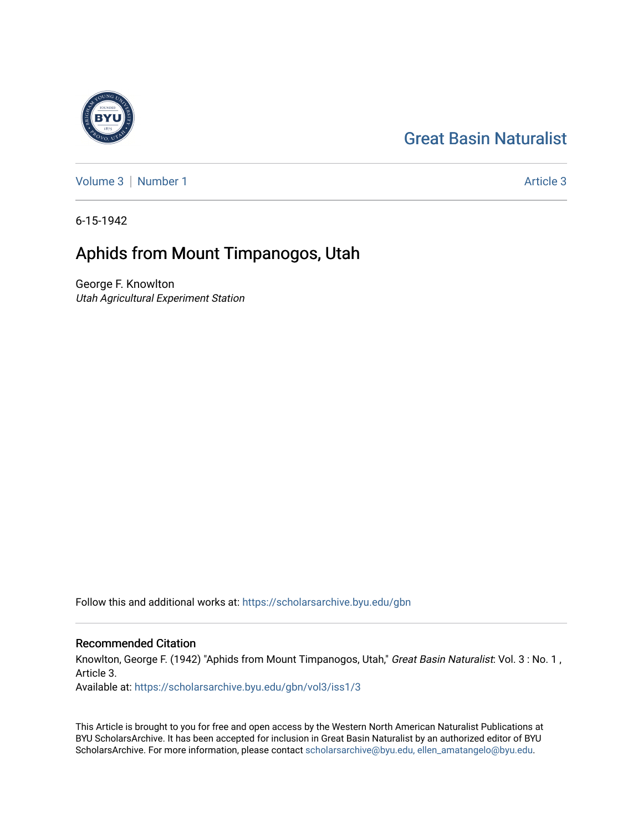## [Great Basin Naturalist](https://scholarsarchive.byu.edu/gbn)



[Volume 3](https://scholarsarchive.byu.edu/gbn/vol3) | [Number 1](https://scholarsarchive.byu.edu/gbn/vol3/iss1) Article 3

6-15-1942

# Aphids from Mount Timpanogos, Utah

George F. Knowlton Utah Agricultural Experiment Station

Follow this and additional works at: [https://scholarsarchive.byu.edu/gbn](https://scholarsarchive.byu.edu/gbn?utm_source=scholarsarchive.byu.edu%2Fgbn%2Fvol3%2Fiss1%2F3&utm_medium=PDF&utm_campaign=PDFCoverPages) 

### Recommended Citation

Knowlton, George F. (1942) "Aphids from Mount Timpanogos, Utah," Great Basin Naturalist: Vol. 3 : No. 1, Article 3.

Available at: [https://scholarsarchive.byu.edu/gbn/vol3/iss1/3](https://scholarsarchive.byu.edu/gbn/vol3/iss1/3?utm_source=scholarsarchive.byu.edu%2Fgbn%2Fvol3%2Fiss1%2F3&utm_medium=PDF&utm_campaign=PDFCoverPages) 

This Article is brought to you for free and open access by the Western North American Naturalist Publications at BYU ScholarsArchive. It has been accepted for inclusion in Great Basin Naturalist by an authorized editor of BYU ScholarsArchive. For more information, please contact [scholarsarchive@byu.edu, ellen\\_amatangelo@byu.edu.](mailto:scholarsarchive@byu.edu,%20ellen_amatangelo@byu.edu)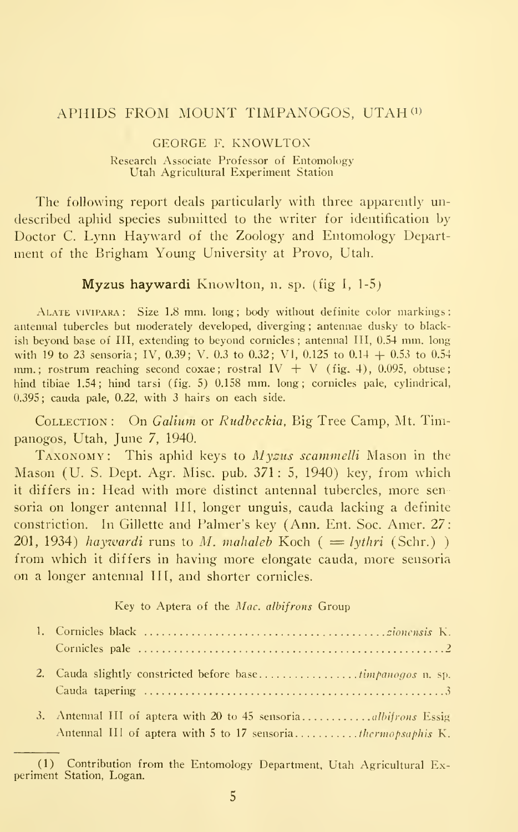### APHIDS FROM MOUNT TIMPANOGOS, UTAH<sup>(1)</sup>

GEORGE F. KNOWLTOX Research Associate Professor of Entomology Utah Agricultural Experiment Station

The following report deals particularly with three apparently undescribed aphid species submitted to the writer for identification by Doctor C. Lynn Hayward of the Zoology and Entomology Department of the Brigham Young University at Provo, Utah.

Myzus haywardi Knowlton, n. sp. (fig I, 1-5)

ALATE VIVIPARA: Size 1.8 mm. long; body without definite color markings: antennal tubercles but moderately developed, diverging ; antennae dusky to blackish beyond base of III, extending to beyond cornicles; antennal III, 0.54 mm. long with <sup>19</sup> to <sup>23</sup> sensoria; IV, 0.39; V. 0.3 to 0.32; VI, 0.125 to 0.14 + 0.53 to 0.54 mm.; rostrum reaching second coxae; rostral IV  $+$  V (fig. 4), 0.095, obtuse; hind tibiae 1.54; hind tarsi (fig. 5) 0.158 mm. long; cornicles pale, cylindrical, 0.395; cauda pale, 0.22, with 3 hairs on each side.

Collection : On Galium or Rudbeckia, Big Tree Camp, Mt. Tinipanogos, Utah, June 7, 1940.

TAXONOMY: This aphid keys to Myzus scammelli Mason in the Mason (U. S. Dept. Agr. Misc. pub. 371 : 5, 1940) key, from which it differs in: Head with more distinct antennal tubercles, more sen soria on longer antennal III, longer unguis, cauda lacking a definite constriction. In Gillette and Palmer's key (Ann. Ent. Soc. Amer. 27: 201, 1934) haywardi runs to M. mahaleb Koch (= lythri (Schr.)) from which it differs in having more elongate cauda, more sensoria on a longer antennal III, and shorter cornicles.

Key to Aptera of the Mac. albifrons Group

| 3. Antennal III of aptera with 20 to 45 sensoria <i>albitrons</i> Essig<br>Antennal III of aptera with 5 to 17 sensoriathermopsaphis K. |
|-----------------------------------------------------------------------------------------------------------------------------------------|

<sup>(1)</sup> Contribution from the Entomology Department. Utah Agricultural Experiment Station, Logan.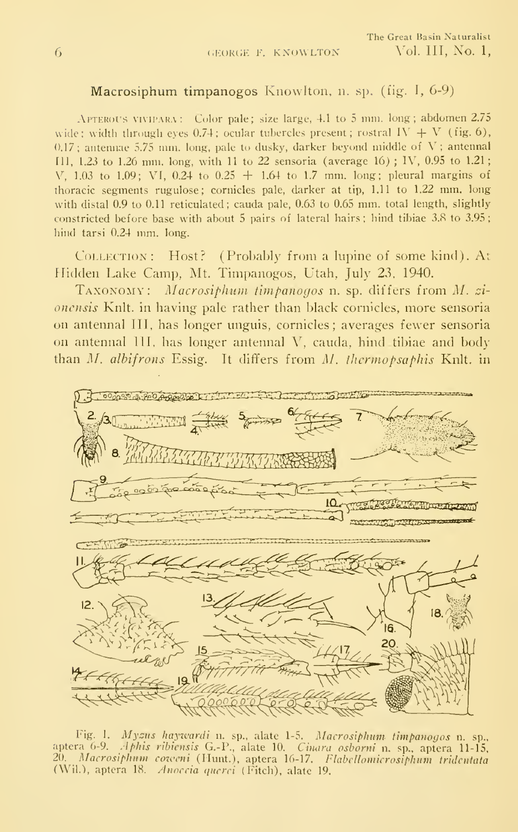### Macrosiphum timpanogos Knowlton, n. sp. (fig. I, 6-9)

APTEROU'S VIVIPARA : Color pale; size large, 4.1 to 5 mm. long ; abdomen 2.75 wide; width through eyes 0.74; ocular tubercles present; rostral IV  $+$  V (fig. 6),  $0.17$ ; antennae 5.75 mm. long, pale to dusky, darker beyond middle of V; antennal III, 1.23 to 1.26 mm. long, with <sup>11</sup> to 22 sensoria (average 16) ; IV, 0.95 to 1.21 V, 1.03 to 1.09; VI, 0.24 to 0.25  $+$  1.64 to 1.7 mm. long; pleural margins of thoracic segments rugulose; cornicles pale, darker at tip, 1.11 to 1.22 mm. long with distal 0.9 to 0.11 reticulated; cauda pale, 0.63 to 0.65 mm. total length, slightly constricted before base with about 5 pairs of lateral hairs ; hind tibiae 3.8 to 3.95 hind tarsi 0.24 mm. long.

Collection: Host? (Probably from a lupine of some kind). At Hidden Lake Camp, Mt. Timpanogos, Utah, July 23, 1940.

Taxonomy: Macrosiphum timpanogos n. sp. differs from M. ci onensis Knlt, in having pale rather than black cornicles, more sensoria on antennal HI, has longer unguis, cornicles; averages fewer sensoria on antennal TIT, has longer antennal V, cauda, hind tibiae and body than M. albifrons Essig. It differs from M. thermopsaphis Knlt, in



Fig. 1. Myzus haywardi n. sp., alate 1-5. Macrosiphum timpanogos n. sp., aptera 6-9. *Aphis ribiensis* G.-P., alate 10. *Cinara osborni* n. sp., aptera 11-15,<br>20. *Macrosiphum coweni* (Hunt.), aptera 16-17. *Flabellomicrosiphum tridentata*<br>(Wil.), aptera 18. *Anoccia querci* (Fitch), alate 19.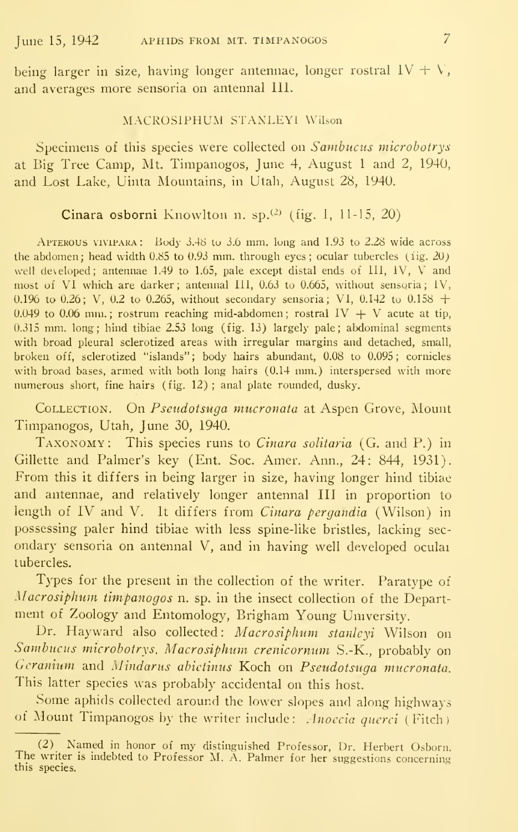being larger in size, having longer antennae, longer rostral  $IV + V$ , and averages more sensoria on antennal 111.

#### MACROSIPHUM STANLEYl Wilson

Specimens of this species were collected on Sambucus microbotrys at Big Tree Camp, Mt. Timpanogos, June 4, August <sup>1</sup> and 2, 1940, and Lost Lake, Uinta Mountains, in Utah, August 28, 1940.

#### Cinara osborni Knowlton n. sp. $(2)$  (fig. I, 11-15, 20)

APTEROUS VIVIPARA: Body 3.48 to 3.6 mm. long and 1.93 to 2.28 wide across the abdomen; head width  $0.85$  to  $0.93$  mm. through eyes; ocular tubercles (iig.  $20$ ) well developed; antennae 1.49 to 1.65, pale except distal ends of ill, iV, V and most of VI which are darker; antennal III, 0.63 to 0.665, without sensoria; IV, 0.1% to 0.26; V, 0.2 to 0.265, without secondary sensoria; VI, 0.142 to 0.158 + 0.049 to 0.06 mm.; rostrum reaching mid-abdomen; rostral  $IV + V$  acute at tip, 0.315 mm. long; hind tibiae 2.53 long (fig. 13) largely pale; abdominal segments with broad pleural sclerotized areas with irregular margins and detached, small, broken off, sclerotized "islands"; body hairs abundant, 0.08 to 0.095; cornicles with broad bases, armed with both long hairs (0.14 mm.) interspersed with more numerous short, fine hairs (fig. 12) ; anal plate rounded, dusky.

COLLECTION. On Pseudotsuga mucronata at Aspen Grove, Mount Timpanogos, Utah, June 30, 1940.

Taxonomy: This species runs to Cinara solitaria (G. and P.) in Gillette and Palmer's key (Ent. Soc. Amer. Ann., 24: 844, 1931). From this it differs in being larger in size, having longer hind tibiae and antennae, and relatively longer antennal III in proportion to length of IV and V. It differs from Cinara pergandia (Wilson) in possessing paler hind tibiae with less spine-like bristles, lacking secondary sensoria on antennal V, and in having well developed oculai tubercles.

Types for the present in the collection of the writer. Paratype of Macrosiphum timpanogos n. sp. in the insect collection of the Department of Zoology and Entomology, Brigham Young University.

Dr. Hayward also collected: Macrosiphum stanleyi Wilson on Sambucus microbotrys, Macrosiphum crenicornum S.-K., probably on Geranium and Mindarus abietinus Koch on Pseudotsuga mucronata. This latter species was probably accidental on this host.

Some aphids collected around the lower slopes and along highways of Mount Timpanogos by the writer include: Anoecia querci (Fitch)

<sup>(2)</sup> Named in honor of my distinguished Professor, Dr. Herbert Osborn. The writer is indebted to Professor M. A. Palmer for her suggestions concerning this species.